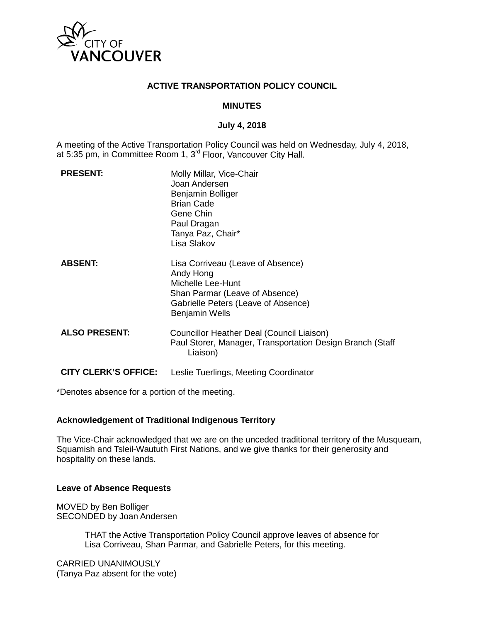

#### **ACTIVE TRANSPORTATION POLICY COUNCIL**

#### **MINUTES**

#### **July 4, 2018**

A meeting of the Active Transportation Policy Council was held on Wednesday, July 4, 2018, at 5:35 pm, in Committee Room 1, 3<sup>rd</sup> Floor, Vancouver City Hall.

| <b>PRESENT:</b>             | Molly Millar, Vice-Chair<br>Joan Andersen<br>Benjamin Bolliger<br><b>Brian Cade</b><br>Gene Chin<br>Paul Dragan<br>Tanya Paz, Chair*<br>Lisa Slakov                   |
|-----------------------------|-----------------------------------------------------------------------------------------------------------------------------------------------------------------------|
| <b>ABSENT:</b>              | Lisa Corriveau (Leave of Absence)<br>Andy Hong<br>Michelle Lee-Hunt<br>Shan Parmar (Leave of Absence)<br>Gabrielle Peters (Leave of Absence)<br><b>Benjamin Wells</b> |
| <b>ALSO PRESENT:</b>        | Councillor Heather Deal (Council Liaison)<br>Paul Storer, Manager, Transportation Design Branch (Staff)<br>Liaison)                                                   |
| <b>CITY CLERK'S OFFICE:</b> | Leslie Tuerlings, Meeting Coordinator                                                                                                                                 |

\*Denotes absence for a portion of the meeting.

#### **Acknowledgement of Traditional Indigenous Territory**

The Vice-Chair acknowledged that we are on the unceded traditional territory of the Musqueam, Squamish and Tsleil-Waututh First Nations, and we give thanks for their generosity and hospitality on these lands.

## **Leave of Absence Requests**

MOVED by Ben Bolliger SECONDED by Joan Andersen

> THAT the Active Transportation Policy Council approve leaves of absence for Lisa Corriveau, Shan Parmar, and Gabrielle Peters, for this meeting.

CARRIED UNANIMOUSLY (Tanya Paz absent for the vote)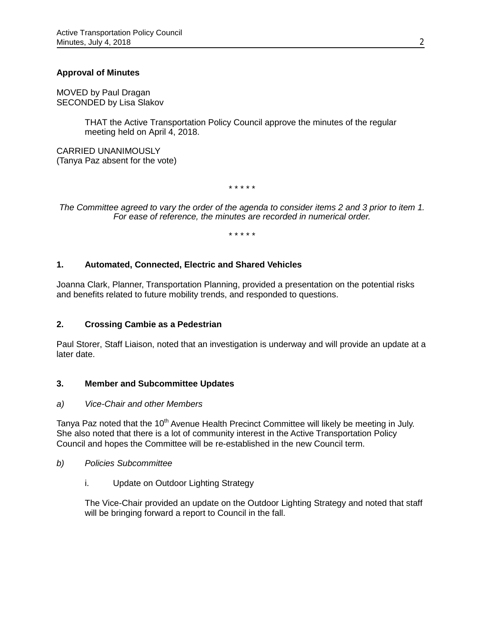## **Approval of Minutes**

MOVED by Paul Dragan SECONDED by Lisa Slakov

> THAT the Active Transportation Policy Council approve the minutes of the regular meeting held on April 4, 2018.

CARRIED UNANIMOUSLY (Tanya Paz absent for the vote)

\* \* \* \* \*

*The Committee agreed to vary the order of the agenda to consider items 2 and 3 prior to item 1. For ease of reference, the minutes are recorded in numerical order.*

\* \* \* \* \*

## **1. Automated, Connected, Electric and Shared Vehicles**

Joanna Clark, Planner, Transportation Planning, provided a presentation on the potential risks and benefits related to future mobility trends, and responded to questions.

## **2. Crossing Cambie as a Pedestrian**

Paul Storer, Staff Liaison, noted that an investigation is underway and will provide an update at a later date.

## **3. Member and Subcommittee Updates**

#### *a) Vice-Chair and other Members*

Tanya Paz noted that the 10<sup>th</sup> Avenue Health Precinct Committee will likely be meeting in July. She also noted that there is a lot of community interest in the Active Transportation Policy Council and hopes the Committee will be re-established in the new Council term.

- *b) Policies Subcommittee*
	- i. Update on Outdoor Lighting Strategy

The Vice-Chair provided an update on the Outdoor Lighting Strategy and noted that staff will be bringing forward a report to Council in the fall.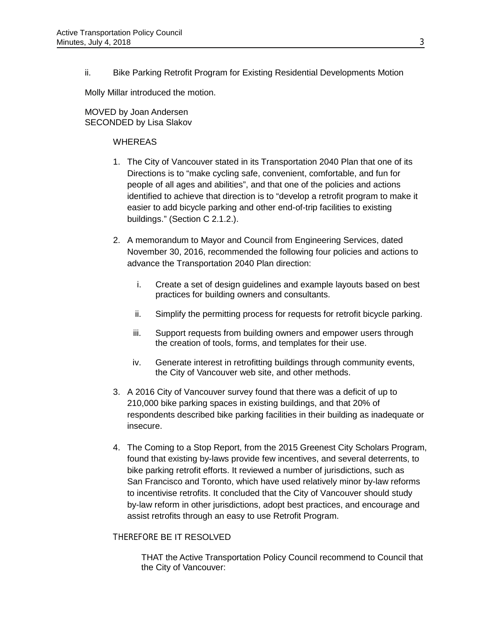ii. Bike Parking Retrofit Program for Existing Residential Developments Motion

Molly Millar introduced the motion.

MOVED by Joan Andersen SECONDED by Lisa Slakov

#### **WHEREAS**

- 1. The City of Vancouver stated in its Transportation 2040 Plan that one of its Directions is to "make cycling safe, convenient, comfortable, and fun for people of all ages and abilities", and that one of the policies and actions identified to achieve that direction is to "develop a retrofit program to make it easier to add bicycle parking and other end-of-trip facilities to existing buildings." (Section C 2.1.2.).
- 2. A memorandum to Mayor and Council from Engineering Services, dated November 30, 2016, recommended the following four policies and actions to advance the Transportation 2040 Plan direction:
	- i. Create a set of design guidelines and example layouts based on best practices for building owners and consultants.
	- ii. Simplify the permitting process for requests for retrofit bicycle parking.
	- iii. Support requests from building owners and empower users through the creation of tools, forms, and templates for their use.
	- iv. Generate interest in retrofitting buildings through community events, the City of Vancouver web site, and other methods.
- 3. A 2016 City of Vancouver survey found that there was a deficit of up to 210,000 bike parking spaces in existing buildings, and that 20% of respondents described bike parking facilities in their building as inadequate or insecure.
- 4. The Coming to a Stop Report, from the 2015 Greenest City Scholars Program, found that existing by-laws provide few incentives, and several deterrents, to bike parking retrofit efforts. It reviewed a number of jurisdictions, such as San Francisco and Toronto, which have used relatively minor by-law reforms to incentivise retrofits. It concluded that the City of Vancouver should study by-law reform in other jurisdictions, adopt best practices, and encourage and assist retrofits through an easy to use Retrofit Program.

## THEREFORE BE IT RESOLVED

THAT the Active Transportation Policy Council recommend to Council that the City of Vancouver: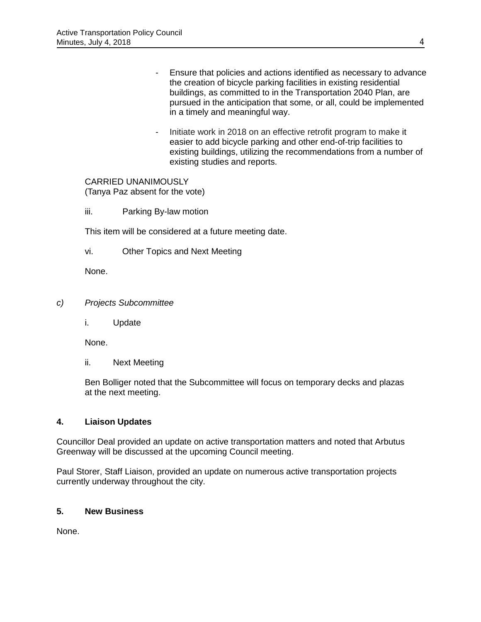- Ensure that policies and actions identified as necessary to advance the creation of bicycle parking facilities in existing residential buildings, as committed to in the Transportation 2040 Plan, are pursued in the anticipation that some, or all, could be implemented in a timely and meaningful way.
- Initiate work in 2018 on an effective retrofit program to make it easier to add bicycle parking and other end-of-trip facilities to existing buildings, utilizing the recommendations from a number of existing studies and reports.

CARRIED UNANIMOUSLY (Tanya Paz absent for the vote)

iii. Parking By-law motion

This item will be considered at a future meeting date.

vi. Other Topics and Next Meeting

None.

- *c) Projects Subcommittee*
	- i. Update

None.

ii. Next Meeting

Ben Bolliger noted that the Subcommittee will focus on temporary decks and plazas at the next meeting.

## **4. Liaison Updates**

Councillor Deal provided an update on active transportation matters and noted that Arbutus Greenway will be discussed at the upcoming Council meeting.

Paul Storer, Staff Liaison, provided an update on numerous active transportation projects currently underway throughout the city.

## **5. New Business**

None.